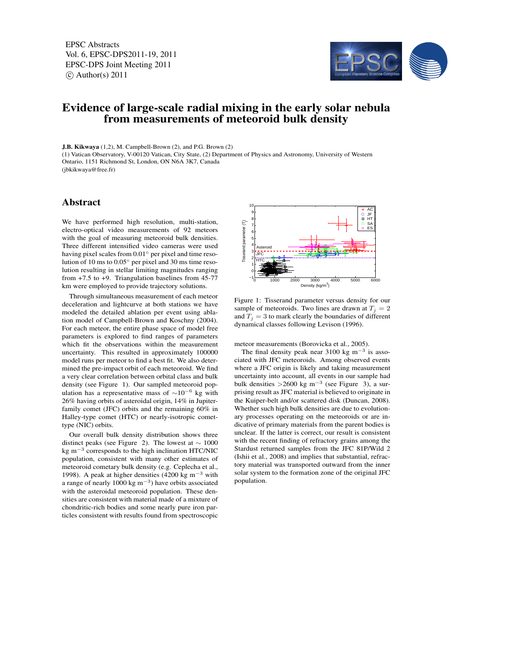EPSC Abstracts Vol. 6, EPSC-DPS2011-19, 2011 EPSC-DPS Joint Meeting 2011  $\circ$  Author(s) 2011



## Evidence of large-scale radial mixing in the early solar nebula from measurements of meteoroid bulk density

J.B. Kikwaya (1,2), M. Campbell-Brown (2), and P.G. Brown (2) (1) Vatican Observatory, V-00120 Vatican, City State, (2) Department of Physics and Astronomy, University of Western Ontario, 1151 Richmond St, London, ON N6A 3K7, Canada (jbkikwaya@free.fr)

## Abstract

We have performed high resolution, multi-station, electro-optical video measurements of 92 meteors with the goal of measuring meteoroid bulk densities. Three different intensified video cameras were used having pixel scales from 0.01◦ per pixel and time resolution of 10 ms to 0.05◦ per pixel and 30 ms time resolution resulting in stellar limiting magnitudes ranging from +7.5 to +9. Triangulation baselines from 45-77 km were employed to provide trajectory solutions.

Through simultaneous measurement of each meteor deceleration and lightcurve at both stations we have modeled the detailed ablation per event using ablation model of Campbell-Brown and Koschny (2004). For each meteor, the entire phase space of model free parameters is explored to find ranges of parameters which fit the observations within the measurement uncertainty. This resulted in approximately 100000 model runs per meteor to find a best fit. We also determined the pre-impact orbit of each meteoroid. We find a very clear correlation between orbital class and bulk density (see Figure 1). Our sampled meteoroid population has a representative mass of  $\sim 10^{-6}$  kg with 26% having orbits of asteroidal origin, 14% in Jupiterfamily comet (JFC) orbits and the remaining 60% in Halley-type comet (HTC) or nearly-isotropic comettype (NIC) orbits.

Our overall bulk density distribution shows three distinct peaks (see Figure 2). The lowest at  $\sim 1000$ kg m−<sup>3</sup> corresponds to the high inclination HTC/NIC population, consistent with many other estimates of meteoroid cometary bulk density (e.g. Ceplecha et al., 1998). A peak at higher densities (4200 kg m−<sup>3</sup> with a range of nearly 1000 kg  $m^{-3}$ ) have orbits associated with the asteroidal meteoroid population. These densities are consistent with material made of a mixture of chondritic-rich bodies and some nearly pure iron particles consistent with results found from spectroscopic



Figure 1: Tisserand parameter versus density for our sample of meteoroids. Two lines are drawn at  $T_i = 2$ and  $T_i = 3$  to mark clearly the boundaries of different dynamical classes following Levison (1996).

meteor measurements (Borovicka et al., 2005).

The final density peak near 3100 kg m<sup>-3</sup> is associated with JFC meteoroids. Among observed events where a JFC origin is likely and taking measurement uncertainty into account, all events in our sample had bulk densities >2600 kg m<sup>-3</sup> (see Figure 3), a surprising result as JFC material is believed to originate in the Kuiper-belt and/or scattered disk (Duncan, 2008). Whether such high bulk densities are due to evolutionary processes operating on the meteoroids or are indicative of primary materials from the parent bodies is unclear. If the latter is correct, our result is consistent with the recent finding of refractory grains among the Stardust returned samples from the JFC 81P/Wild 2 (Ishii et al., 2008) and implies that substantial, refractory material was transported outward from the inner solar system to the formation zone of the original JFC population.